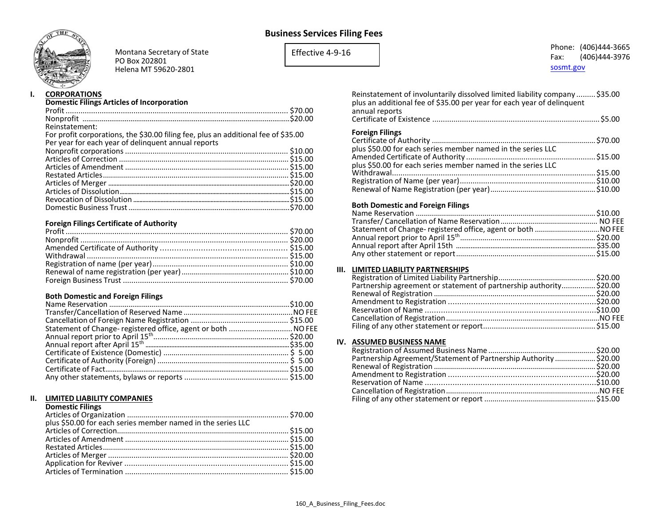# **Business Services Filing Fees**



Montana Secretary of State PO Box 202801 Helena MT 59620-2801

Effective 4-9-16

## Phone: (406)444-3665 Fax: (406)444-3976 [sosmt.gov](https://sosmt.gov/)

#### **I. CORPORATIONS**

## **Domestic Filings Articles of Incorporation**

| Reinstatement:                                                                     |  |
|------------------------------------------------------------------------------------|--|
| For profit corporations, the \$30.00 filing fee, plus an additional fee of \$35.00 |  |
| Per year for each year of delinquent annual reports                                |  |
|                                                                                    |  |
|                                                                                    |  |
|                                                                                    |  |
|                                                                                    |  |
|                                                                                    |  |
|                                                                                    |  |
|                                                                                    |  |
|                                                                                    |  |
|                                                                                    |  |

## **Foreign Filings Certificate of Authority**

## **Both Domestic and Foreign Filings**

| Statement of Change-registered office, agent or both  NO FEE |  |
|--------------------------------------------------------------|--|
|                                                              |  |
|                                                              |  |
|                                                              |  |
|                                                              |  |
|                                                              |  |
|                                                              |  |

### **II. LIMITED LIABILITY COMPANIES**

#### **Domestic Filings**

| plus \$50.00 for each series member named in the series LLC |  |
|-------------------------------------------------------------|--|
|                                                             |  |
|                                                             |  |
|                                                             |  |
|                                                             |  |
|                                                             |  |
|                                                             |  |

| Reinstatement of involuntarily dissolved limited liability company  \$35.00<br>plus an additional fee of \$35.00 per year for each year of delinguent<br>annual reports |  |
|-------------------------------------------------------------------------------------------------------------------------------------------------------------------------|--|
|                                                                                                                                                                         |  |
| <b>Foreign Filings</b>                                                                                                                                                  |  |
|                                                                                                                                                                         |  |
| plus \$50.00 for each series member named in the series LLC                                                                                                             |  |
| $n \ln \theta$ COO Concerts conice means beneaver of in the conice UC                                                                                                   |  |

| plus \$50.00 for each series member named in the series LLC |  |
|-------------------------------------------------------------|--|
|                                                             |  |
|                                                             |  |
|                                                             |  |
|                                                             |  |

## **Both Domestic and Foreign Filings**

#### **III. LIMITED LIABILITY PARTNERSHIPS**

| Partnership agreement or statement of partnership authority \$20.00 |  |
|---------------------------------------------------------------------|--|
|                                                                     |  |
|                                                                     |  |
|                                                                     |  |
|                                                                     |  |
|                                                                     |  |

#### **IV. ASSUMED BUSINESS NAME**

| Partnership Agreement/Statement of Partnership Authority  \$20.00 |  |
|-------------------------------------------------------------------|--|
|                                                                   |  |
|                                                                   |  |
|                                                                   |  |
|                                                                   |  |
|                                                                   |  |
|                                                                   |  |